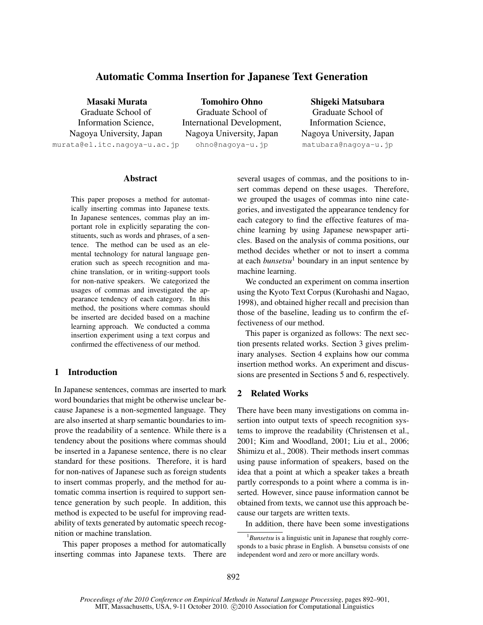# Automatic Comma Insertion for Japanese Text Generation

Masaki Murata

Graduate School of Information Science, Nagoya University, Japan

murata@el.itc.nagoya-u.ac.jp

Tomohiro Ohno Graduate School of International Development, Nagoya University, Japan ohno@nagoya-u.jp

Shigeki Matsubara Graduate School of Information Science, Nagoya University, Japan matubara@nagoya-u.jp

### Abstract

This paper proposes a method for automatically inserting commas into Japanese texts. In Japanese sentences, commas play an important role in explicitly separating the constituents, such as words and phrases, of a sentence. The method can be used as an elemental technology for natural language generation such as speech recognition and machine translation, or in writing-support tools for non-native speakers. We categorized the usages of commas and investigated the appearance tendency of each category. In this method, the positions where commas should be inserted are decided based on a machine learning approach. We conducted a comma insertion experiment using a text corpus and confirmed the effectiveness of our method.

# 1 Introduction

In Japanese sentences, commas are inserted to mark word boundaries that might be otherwise unclear because Japanese is a non-segmented language. They are also inserted at sharp semantic boundaries to improve the readability of a sentence. While there is a tendency about the positions where commas should be inserted in a Japanese sentence, there is no clear standard for these positions. Therefore, it is hard for non-natives of Japanese such as foreign students to insert commas properly, and the method for automatic comma insertion is required to support sentence generation by such people. In addition, this method is expected to be useful for improving readability of texts generated by automatic speech recognition or machine translation.

This paper proposes a method for automatically inserting commas into Japanese texts. There are several usages of commas, and the positions to insert commas depend on these usages. Therefore, we grouped the usages of commas into nine categories, and investigated the appearance tendency for each category to find the effective features of machine learning by using Japanese newspaper articles. Based on the analysis of comma positions, our method decides whether or not to insert a comma at each *bunsetsu*<sup>1</sup> boundary in an input sentence by machine learning.

We conducted an experiment on comma insertion using the Kyoto Text Corpus (Kurohashi and Nagao, 1998), and obtained higher recall and precision than those of the baseline, leading us to confirm the effectiveness of our method.

This paper is organized as follows: The next section presents related works. Section 3 gives preliminary analyses. Section 4 explains how our comma insertion method works. An experiment and discussions are presented in Sections 5 and 6, respectively.

# 2 Related Works

There have been many investigations on comma insertion into output texts of speech recognition systems to improve the readability (Christensen et al., 2001; Kim and Woodland, 2001; Liu et al., 2006; Shimizu et al., 2008). Their methods insert commas using pause information of speakers, based on the idea that a point at which a speaker takes a breath partly corresponds to a point where a comma is inserted. However, since pause information cannot be obtained from texts, we cannot use this approach because our targets are written texts.

In addition, there have been some investigations

<sup>1</sup> *Bunsetsu* is a linguistic unit in Japanese that roughly corresponds to a basic phrase in English. A bunsetsu consists of one independent word and zero or more ancillary words.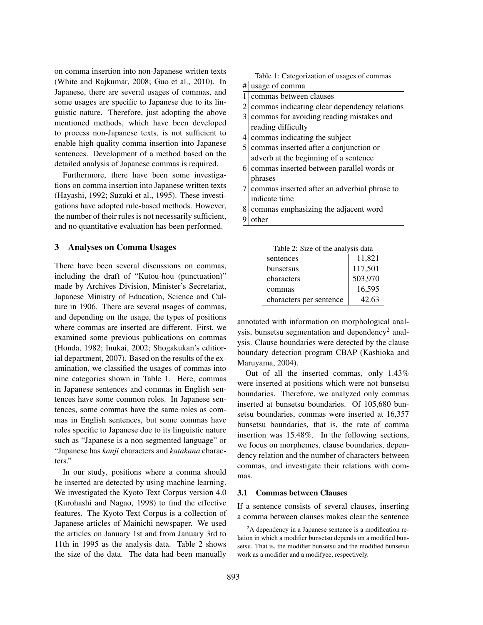on comma insertion into non-Japanese written texts (White and Rajkumar, 2008; Guo et al., 2010). In Japanese, there are several usages of commas, and some usages are specific to Japanese due to its linguistic nature. Therefore, just adopting the above mentioned methods, which have been developed to process non-Japanese texts, is not sufficient to enable high-quality comma insertion into Japanese sentences. Development of a method based on the detailed analysis of Japanese commas is required.

Furthermore, there have been some investigations on comma insertion into Japanese written texts (Hayashi, 1992; Suzuki et al., 1995). These investigations have adopted rule-based methods. However, the number of their rules is not necessarily sufficient, and no quantitative evaluation has been performed.

# 3 Analyses on Comma Usages

There have been several discussions on commas, including the draft of "Kutou-hou (punctuation)" made by Archives Division, Minister's Secretariat, Japanese Ministry of Education, Science and Culture in 1906. There are several usages of commas, and depending on the usage, the types of positions where commas are inserted are different. First, we examined some previous publications on commas (Honda, 1982; Inukai, 2002; Shogakukan's editiorial department, 2007). Based on the results of the examination, we classified the usages of commas into nine categories shown in Table 1. Here, commas in Japanese sentences and commas in English sentences have some common roles. In Japanese sentences, some commas have the same roles as commas in English sentences, but some commas have roles specific to Japanese due to its linguistic nature such as "Japanese is a non-segmented language" or "Japanese has *kanji* characters and *katakana* characters."

In our study, positions where a comma should be inserted are detected by using machine learning. We investigated the Kyoto Text Corpus version 4.0 (Kurohashi and Nagao, 1998) to find the effective features. The Kyoto Text Corpus is a collection of Japanese articles of Mainichi newspaper. We used the articles on January 1st and from January 3rd to 11th in 1995 as the analysis data. Table 2 shows the size of the data. The data had been manually

| Table 1: Categorization of usages of commas |  |
|---------------------------------------------|--|
|                                             |  |

| # | usage of comma                               |
|---|----------------------------------------------|
| 1 | commas between clauses                       |
| 2 | commas indicating clear dependency relations |
| 3 | commas for avoiding reading mistakes and     |
|   | reading difficulty                           |
| 4 | commas indicating the subject                |
| 5 | commas inserted after a conjunction or       |
|   | adverb at the beginning of a sentence        |
| 6 | commas inserted between parallel words or    |
|   | phrases                                      |
|   | commas inserted after an adverbial phrase to |
|   | indicate time                                |
| 8 | commas emphasizing the adjacent word         |
|   |                                              |

9 other

| Table 2: Size of the analysis data |         |  |  |
|------------------------------------|---------|--|--|
| sentences                          | 11,821  |  |  |
| bunsetsus                          | 117,501 |  |  |
| characters                         | 503,970 |  |  |
| commas                             | 16,595  |  |  |
| characters per sentence            | 42.63   |  |  |

annotated with information on morphological analysis, bunsetsu segmentation and dependency<sup>2</sup> analysis. Clause boundaries were detected by the clause boundary detection program CBAP (Kashioka and Maruyama, 2004).

Out of all the inserted commas, only 1.43% were inserted at positions which were not bunsetsu boundaries. Therefore, we analyzed only commas inserted at bunsetsu boundaries. Of 105,680 bunsetsu boundaries, commas were inserted at 16,357 bunsetsu boundaries, that is, the rate of comma insertion was 15.48%. In the following sections, we focus on morphemes, clause boundaries, dependency relation and the number of characters between commas, and investigate their relations with commas.

### 3.1 Commas between Clauses

If a sentence consists of several clauses, inserting a comma between clauses makes clear the sentence

<sup>&</sup>lt;sup>2</sup>A dependency in a Japanese sentence is a modification relation in which a modifier bunsetsu depends on a modified bunsetsu. That is, the modifier bunsetsu and the modified bunsetsu work as a modifier and a modifyee, respectively.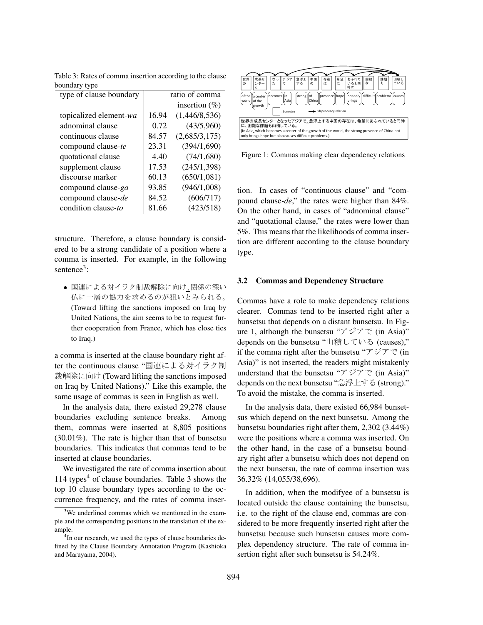| type of clause boundary | ratio of comma |                  |  |
|-------------------------|----------------|------------------|--|
|                         |                | insertion $(\%)$ |  |
| topicalized element-wa  | 16.94          | (1,446/8,536)    |  |
| adnominal clause        | 0.72           | (43/5,960)       |  |
| continuous clause       | 84.57          | (2,685/3,175)    |  |
| compound clause-te      | 23.31          | (394/1,690)      |  |
| quotational clause      | 4.40           | (74/1,680)       |  |
| supplement clause       | 17.53          | (245/1,398)      |  |
| discourse marker        | 60.13          | (650/1,081)      |  |
| compound clause-ga      | 93.85          | (946/1,008)      |  |
| compound clause-de      | 84.52          | (606/717)        |  |
| condition clause-to     | 81.66          | (423/518)        |  |

Table 3: Rates of comma insertion according to the clause boundary type

structure. Therefore, a clause boundary is considered to be a strong candidate of a position where a comma is inserted. For example, in the following sentence<sup>3</sup>:

• 国連による対イラク制裁解除に向け、関係の深い 仏に一層の協力を求めるのが狙いとみられる。 (Toward lifting the sanctions imposed on Iraq by United Nations, the aim seems to be to request further cooperation from France, which has close ties to Iraq.)

a comma is inserted at the clause boundary right after the continuous clause "国連による対イラク制 裁解除に向け (Toward lifting the sanctions imposed on Iraq by United Nations)." Like this example, the same usage of commas is seen in English as well.

In the analysis data, there existed 29,278 clause boundaries excluding sentence breaks. Among them, commas were inserted at 8,805 positions (30.01%). The rate is higher than that of bunsetsu boundaries. This indicates that commas tend to be inserted at clause boundaries.

We investigated the rate of comma insertion about  $114$  types<sup>4</sup> of clause boundaries. Table 3 shows the top 10 clause boundary types according to the occurrence frequency, and the rates of comma inser-



Figure 1: Commas making clear dependency relations

tion. In cases of "continuous clause" and "compound clause*-de*," the rates were higher than 84%. On the other hand, in cases of "adnominal clause" and "quotational clause," the rates were lower than 5%. This means that the likelihoods of comma insertion are different according to the clause boundary type.

### 3.2 Commas and Dependency Structure

Commas have a role to make dependency relations clearer. Commas tend to be inserted right after a bunsetsu that depends on a distant bunsetsu. In Figure 1, although the bunsetsu " $\mathcal{F}\rightarrow\mathcal{F}\mathcal{F}$ " (in Asia)" depends on the bunsetsu "山積している (causes)," if the comma right after the bunsetsu " $\mathcal{F}\mathcal{V}\mathcal{F}\mathcal{F}$  (in Asia)" is not inserted, the readers might mistakenly understand that the bunsetsu " $\mathcal{F} \circ \mathcal{F} \circ \mathcal{F}$  (in Asia)" depends on the next bunsetsu "急浮上する (strong)." To avoid the mistake, the comma is inserted.

In the analysis data, there existed 66,984 bunsetsus which depend on the next bunsetsu. Among the bunsetsu boundaries right after them, 2,302 (3.44%) were the positions where a comma was inserted. On the other hand, in the case of a bunsetsu boundary right after a bunsetsu which does not depend on the next bunsetsu, the rate of comma insertion was 36.32% (14,055/38,696).

In addition, when the modifyee of a bunsetsu is located outside the clause containing the bunsetsu, i.e. to the right of the clause end, commas are considered to be more frequently inserted right after the bunsetsu because such bunsetsu causes more complex dependency structure. The rate of comma insertion right after such bunsetsu is 54.24%.

<sup>&</sup>lt;sup>3</sup>We underlined commas which we mentioned in the example and the corresponding positions in the translation of the example.

<sup>&</sup>lt;sup>4</sup>In our research, we used the types of clause boundaries defined by the Clause Boundary Annotation Program (Kashioka and Maruyama, 2004).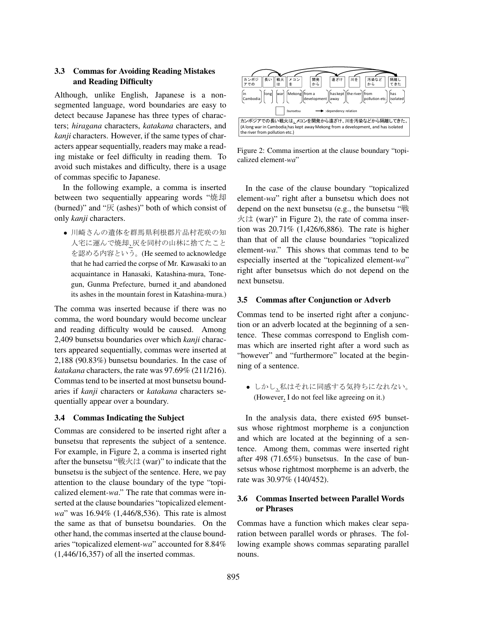# 3.3 Commas for Avoiding Reading Mistakes and Reading Difficulty

Although, unlike English, Japanese is a nonsegmented language, word boundaries are easy to detect because Japanese has three types of characters; *hiragana* characters, *katakana* characters, and *kanji* characters. However, if the same types of characters appear sequentially, readers may make a reading mistake or feel difficulty in reading them. To avoid such mistakes and difficulty, there is a usage of commas specific to Japanese.

In the following example, a comma is inserted between two sequentially appearing words "焼却 (burned)" and " $\overline{\mathcal{K}}$  (ashes)" both of which consist of only *kanji* characters.

• 川崎さんの遺体を群馬県利根郡片品村花咲の知 人宅に運んで焼却、灰を同村の山林に捨てたこと を認める内容という。(He seemed to acknowledge that he had carried the corpse of Mr. Kawasaki to an acquaintance in Hanasaki, Katashina-mura, Tonegun, Gunma Prefecture, burned it and abandoned its ashes in the mountain forest in Katashina-mura.)

The comma was inserted because if there was no comma, the word boundary would become unclear and reading difficulty would be caused. Among 2,409 bunsetsu boundaries over which *kanji* characters appeared sequentially, commas were inserted at 2,188 (90.83%) bunsetsu boundaries. In the case of *katakana* characters, the rate was 97.69% (211/216). Commas tend to be inserted at most bunsetsu boundaries if *kanji* characters or *katakana* characters sequentially appear over a boundary.

### 3.4 Commas Indicating the Subject

Commas are considered to be inserted right after a bunsetsu that represents the subject of a sentence. For example, in Figure 2, a comma is inserted right after the bunsetsu " $\mathbb{R} \times \mathbb{R}$  (war)" to indicate that the bunsetsu is the subject of the sentence. Here, we pay attention to the clause boundary of the type "topicalized element*-wa*." The rate that commas were inserted at the clause boundaries "topicalized element*wa*" was 16.94% (1,446/8,536). This rate is almost the same as that of bunsetsu boundaries. On the other hand, the commas inserted at the clause boundaries "topicalized element*-wa*" accounted for 8.84%  $(1,446/16,357)$  of all the inserted commas.



Figure 2: Comma insertion at the clause boundary "topicalized element*-wa*"

In the case of the clause boundary "topicalized element*-wa*" right after a bunsetsu which does not depend on the next bunsetsu (e.g., the bunsetsu " $\mathbb{R}$ "  $\forall$  ( $\forall$  (war)" in Figure 2), the rate of comma insertion was 20.71% (1,426/6,886). The rate is higher than that of all the clause boundaries "topicalized element*-wa*." This shows that commas tend to be especially inserted at the "topicalized element*-wa*" right after bunsetsus which do not depend on the next bunsetsu.

#### 3.5 Commas after Conjunction or Adverb

Commas tend to be inserted right after a conjunction or an adverb located at the beginning of a sentence. These commas correspond to English commas which are inserted right after a word such as "however" and "furthermore" located at the beginning of a sentence.

• しかし、私はそれに同感する気持ちになれない。 (However, I do not feel like agreeing on it.)

In the analysis data, there existed 695 bunsetsus whose rightmost morpheme is a conjunction and which are located at the beginning of a sentence. Among them, commas were inserted right after 498 (71.65%) bunsetsus. In the case of bunsetsus whose rightmost morpheme is an adverb, the rate was 30.97% (140/452).

# 3.6 Commas Inserted between Parallel Words or Phrases

Commas have a function which makes clear separation between parallel words or phrases. The following example shows commas separating parallel nouns.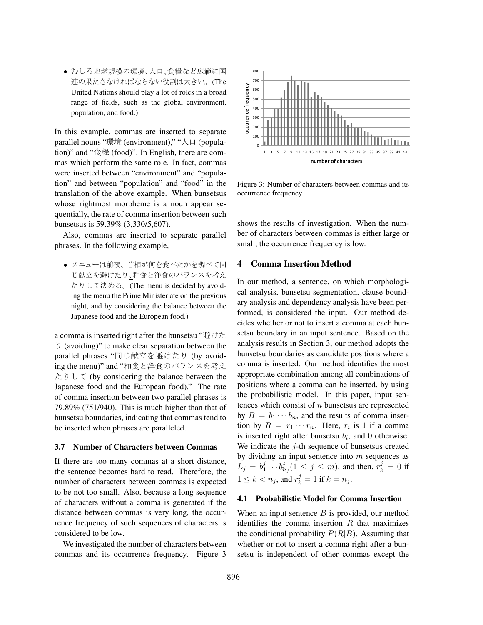● むしろ地球規模の環境、人口、食糧など広範に国 連の果たさなければならない役割は大きい。(The United Nations should play a lot of roles in a broad range of fields, such as the global environment, population, and food.)

In this example, commas are inserted to separate parallel nouns "環境 (environment)," "人口 (population)" and "食糧 (food)". In English, there are commas which perform the same role. In fact, commas were inserted between "environment" and "population" and between "population" and "food" in the translation of the above example. When bunsetsus whose rightmost morpheme is a noun appear sequentially, the rate of comma insertion between such bunsetsus is 59.39% (3,330/5,607).

Also, commas are inserted to separate parallel phrases. In the following example,

• メニューは前夜、首相が何を食べたかを調べて同 じ献立を避けたり、和食と洋食のバランスを考え たりして決める。(The menu is decided by avoiding the menu the Prime Minister ate on the previous night, and by considering the balance between the Japanese food and the European food.)

a comma is inserted right after the bunsetsu " $#t \uparrow \sim$  $\theta$  (avoiding)" to make clear separation between the parallel phrases "同じ献立を避けたり (by avoiding the menu)" and "和食と洋食のバランスを考え  $\hbar$  b  $\cup$   $\tau$  (by considering the balance between the Japanese food and the European food)." The rate of comma insertion between two parallel phrases is 79.89% (751/940). This is much higher than that of bunsetsu boundaries, indicating that commas tend to be inserted when phrases are paralleled.

### 3.7 Number of Characters between Commas

If there are too many commas at a short distance, the sentence becomes hard to read. Therefore, the number of characters between commas is expected to be not too small. Also, because a long sequence of characters without a comma is generated if the distance between commas is very long, the occurrence frequency of such sequences of characters is considered to be low.

We investigated the number of characters between commas and its occurrence frequency. Figure 3



Figure 3: Number of characters between commas and its occurrence frequency

shows the results of investigation. When the number of characters between commas is either large or small, the occurrence frequency is low.

### 4 Comma Insertion Method

In our method, a sentence, on which morphological analysis, bunsetsu segmentation, clause boundary analysis and dependency analysis have been performed, is considered the input. Our method decides whether or not to insert a comma at each bunsetsu boundary in an input sentence. Based on the analysis results in Section 3, our method adopts the bunsetsu boundaries as candidate positions where a comma is inserted. Our method identifies the most appropriate combination among all combinations of positions where a comma can be inserted, by using the probabilistic model. In this paper, input sentences which consist of  $n$  bunsetsus are represented by  $B = b_1 \cdots b_n$ , and the results of comma insertion by  $R = r_1 \cdots r_n$ . Here,  $r_i$  is 1 if a comma is inserted right after bunsetsu  $b_i$ , and 0 otherwise. We indicate the  $j$ -th sequence of bunsetsus created by dividing an input sentence into  $m$  sequences as  $L_j = b_1^j \cdots b_{n_j}^j (1 \le j \le m)$ , and then,  $r_k^j = 0$  if  $1 \leq k < n_j$ , and  $r_k^j = 1$  if  $k = n_j$ .

#### 4.1 Probabilistic Model for Comma Insertion

When an input sentence  $B$  is provided, our method identifies the comma insertion  $R$  that maximizes the conditional probability  $P(R|B)$ . Assuming that whether or not to insert a comma right after a bunsetsu is independent of other commas except the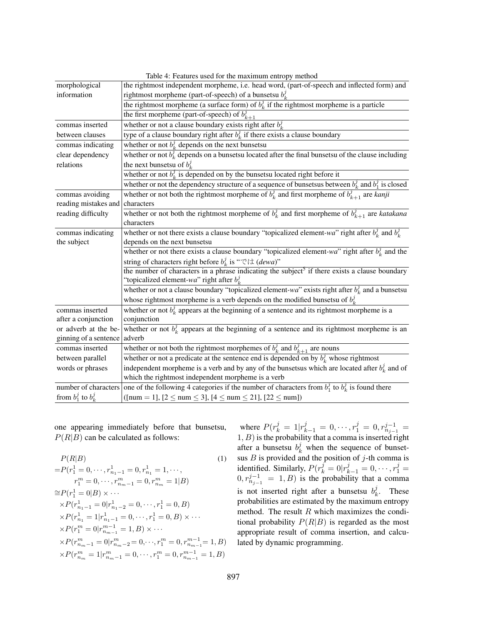| Table 4: Features used for the maximum entropy method |                                                                                                            |  |  |  |
|-------------------------------------------------------|------------------------------------------------------------------------------------------------------------|--|--|--|
| morphological                                         | the rightmost independent morpheme, i.e. head word, (part-of-speech and inflected form) and                |  |  |  |
| information                                           | rightmost morpheme (part-of-speech) of a bunsetsu $b_k^j$                                                  |  |  |  |
|                                                       | the rightmost morpheme (a surface form) of $b_k^j$ if the rightmost morpheme is a particle                 |  |  |  |
|                                                       | the first morpheme (part-of-speech) of $b_{k+1}^j$                                                         |  |  |  |
| commas inserted                                       | whether or not a clause boundary exists right after $b_k^j$                                                |  |  |  |
| between clauses                                       | type of a clause boundary right after $b_k^j$ if there exists a clause boundary                            |  |  |  |
| commas indicating                                     | whether or not $b_k^j$ depends on the next bunsetsu                                                        |  |  |  |
| clear dependency                                      | whether or not $b_k^j$ depends on a bunsetsu located after the final bunsetsu of the clause including      |  |  |  |
| relations                                             | the next bunsetsu of $b_k^j$                                                                               |  |  |  |
|                                                       | whether or not $b_k^j$ is depended on by the bunsetsu located right before it                              |  |  |  |
|                                                       | whether or not the dependency structure of a sequence of bunsetsus between $b_k^j$ and $b_1^j$ is closed   |  |  |  |
| commas avoiding                                       | whether or not both the rightmost morpheme of $b_k^j$ and first morpheme of $b_{k+1}^j$ are <i>kanji</i>   |  |  |  |
| reading mistakes and                                  | characters                                                                                                 |  |  |  |
| reading difficulty                                    | whether or not both the rightmost morpheme of $b_k^j$ and first morpheme of $b_{k+1}^j$ are katakana       |  |  |  |
|                                                       | characters                                                                                                 |  |  |  |
| commas indicating                                     | whether or not there exists a clause boundary "topicalized element-wa" right after $b_k^j$ and $b_k^j$     |  |  |  |
| the subject                                           | depends on the next bunsetsu                                                                               |  |  |  |
|                                                       | whether or not there exists a clause boundary "topicalized element-wa" right after $b_k^j$ and the         |  |  |  |
|                                                       | string of characters right before $b_k^j$ is " $\heartsuit$ ' $\forall$ (dewa)"                            |  |  |  |
|                                                       | the number of characters in a phrase indicating the subject <sup>5</sup> if there exists a clause boundary |  |  |  |
|                                                       | "topicalized element-wa" right after $b_k^j$                                                               |  |  |  |
|                                                       | whether or not a clause boundary "topicalized element-wa" exists right after $b_k^j$ and a bunsetsu        |  |  |  |
|                                                       | whose rightmost morpheme is a verb depends on the modified bunsetsu of $b_k^j$ .                           |  |  |  |
| commas inserted                                       | whether or not $b_k^j$ appears at the beginning of a sentence and its rightmost morpheme is a              |  |  |  |
| after a conjunction                                   | conjunction                                                                                                |  |  |  |
| or adverb at the be-                                  | whether or not $b_k^j$ appears at the beginning of a sentence and its rightmost morpheme is an             |  |  |  |
| ginning of a sentence                                 | adverb                                                                                                     |  |  |  |
| commas inserted                                       | whether or not both the rightmost morphemes of $b_k^j$ and $b_{k+1}^j$ are nouns                           |  |  |  |
| between parallel                                      | whether or not a predicate at the sentence end is depended on by $b_k^j$ whose rightmost                   |  |  |  |
| words or phrases                                      | independent morpheme is a verb and by any of the bunsetsus which are located after $b_k^j$ and of          |  |  |  |
|                                                       | which the rightmost independent morpheme is a verb                                                         |  |  |  |
| number of characters                                  | one of the following 4 categories if the number of characters from $b_1^j$ to $b_k^j$ is found there       |  |  |  |
| from $b_1^j$ to $b_k^j$                               | ([num = 1], $[2 \leq num \leq 3]$ , $[4 \leq num \leq 21]$ , $[22 \leq num]$ )                             |  |  |  |

one appearing immediately before that bunsetsu,  $P(R|B)$  can be calculated as follows:

$$
P(R|B)
$$
\n
$$
= P(r_1^1 = 0, \dots, r_{n_1-1}^1 = 0, r_{n_1}^1 = 1, \dots, r_1^m = 0, \dots, r_{n_m-1}^m = 0, r_{n_m}^m = 1|B)
$$
\n
$$
\approx P(r_1^1 = 0|B) \times \dots
$$
\n
$$
\times P(r_{n_1-1}^1 = 0|r_{n_1-2}^1 = 0, \dots, r_1^1 = 0, B)
$$
\n
$$
\times P(r_{n_1}^1 = 1|r_{n_1-1}^1 = 0, \dots, r_1^1 = 0, B) \times \dots
$$
\n
$$
\times P(r_1^m = 0|r_{n_{m-1}}^{m-1} = 1, B) \times \dots
$$
\n
$$
\times P(r_{n_m-1}^m = 0|r_{n_m-2}^m = 0, \dots, r_1^m = 0, r_{n_{m-1}}^{m-1} = 1, B)
$$
\n
$$
\times P(r_{n_m}^m = 1|r_{n_{m-1}}^m = 0, \dots, r_1^m = 0, r_{n_{m-1}}^{m-1} = 1, B)
$$

where  $P(r_k^j = 1 | r_{k-1}^j = 0, \dots, r_1^j = 0, r_{n_{j-1}}^{j-1} =$  $(1, B)$  is the probability that a comma is inserted right after a bunsetsu  $b_k^j$  when the sequence of bunsetsus  $B$  is provided and the position of  $j$ -th comma is identified. Similarly,  $P(r_k^j = 0 | r_{k-1}^j = 0, \dots, r_1^j =$  $0, r_{n_{j-1}}^{j-1} = 1, B)$  is the probability that a comma is not inserted right after a bunsetsu  $b_k^j$ . These probabilities are estimated by the maximum entropy method. The result  $R$  which maximizes the conditional probability  $P(R|B)$  is regarded as the most appropriate result of comma insertion, and calculated by dynamic programming.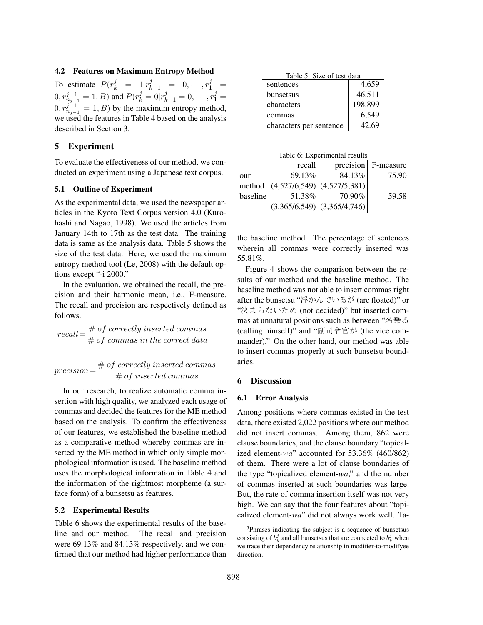### 4.2 Features on Maximum Entropy Method

To estimate  $P(r_k^j = 1 | r_{k-1}^j = 0, \dots, r_1^j =$  $(0, r_{n_{j-1}}^{j-1} = 1, B)$  and  $P(r_k^j = 0 | r_{k-1}^j = 0, \dots, r_1^j = 1)$  $(0, r_{n_{j-1}}^{j-1} = 1, B)$  by the maximum entropy method, we used the features in Table 4 based on the analysis described in Section 3.

### 5 Experiment

To evaluate the effectiveness of our method, we conducted an experiment using a Japanese text corpus.

### 5.1 Outline of Experiment

As the experimental data, we used the newspaper articles in the Kyoto Text Corpus version 4.0 (Kurohashi and Nagao, 1998). We used the articles from January 14th to 17th as the test data. The training data is same as the analysis data. Table 5 shows the size of the test data. Here, we used the maximum entropy method tool (Le, 2008) with the default options except "-i 2000."

In the evaluation, we obtained the recall, the precision and their harmonic mean, i.e., F-measure. The recall and precision are respectively defined as follows.

$$
recall = \frac{\# of \ correctly \ inserted \ commas}{\# of \ commas \ in \ the \ correct \ data}
$$

$$
precision = \frac{\# of~correctly~inserted~commas}{\#~of~inserted~commas}
$$

In our research, to realize automatic comma insertion with high quality, we analyzed each usage of commas and decided the features for the ME method based on the analysis. To confirm the effectiveness of our features, we established the baseline method as a comparative method whereby commas are inserted by the ME method in which only simple morphological information is used. The baseline method uses the morphological information in Table 4 and the information of the rightmost morpheme (a surface form) of a bunsetsu as features.

### 5.2 Experimental Results

Table 6 shows the experimental results of the baseline and our method. The recall and precision were 69.13% and 84.13% respectively, and we confirmed that our method had higher performance than

| Table 5: Size of test data |         |  |  |
|----------------------------|---------|--|--|
| sentences                  | 4,659   |  |  |
| bunsetsus                  | 46,511  |  |  |
| characters                 | 198,899 |  |  |
| commas                     | 6,549   |  |  |
| characters per sentence    | 42.69   |  |  |

Table 6: Experimental results

|          | recall |                                    | precision F-measure |
|----------|--------|------------------------------------|---------------------|
| our      | 69.13% | 84.13%                             | 75.90               |
| method   |        | $ (4,527/6,549) $ $(4,527/5,381) $ |                     |
| baseline | 51.38% | 70.90%                             | 59.58               |
|          |        | $(3,365/6,549)$ $(3,365/4,746)$    |                     |

the baseline method. The percentage of sentences wherein all commas were correctly inserted was 55.81%.

Figure 4 shows the comparison between the results of our method and the baseline method. The baseline method was not able to insert commas right after the bunsetsu "浮かんでいるが (are floated)" or "決まらないため (not decided)" but inserted commas at unnatural positions such as between "名乗る (calling himself)" and "副司令官が (the vice commander)." On the other hand, our method was able to insert commas properly at such bunsetsu boundaries.

### 6 Discussion

#### 6.1 Error Analysis

Among positions where commas existed in the test data, there existed 2,022 positions where our method did not insert commas. Among them, 862 were clause boundaries, and the clause boundary "topicalized element*-wa*" accounted for 53.36% (460/862) of them. There were a lot of clause boundaries of the type "topicalized element*-wa*," and the number of commas inserted at such boundaries was large. But, the rate of comma insertion itself was not very high. We can say that the four features about "topicalized element*-wa*" did not always work well. Ta-

<sup>&</sup>lt;sup>5</sup>Phrases indicating the subject is a sequence of bunsetsus consisting of  $b_k^j$  and all bunsetsus that are connected to  $b_k^j$  when we trace their dependency relationship in modifier-to-modifyee direction.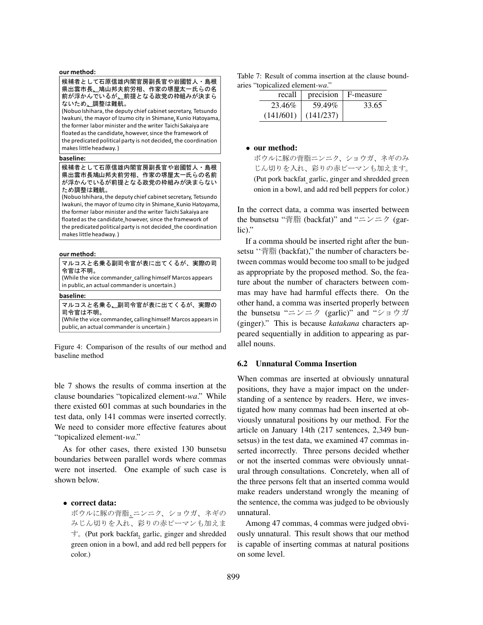| マルコスと名乗る副司令官が表に出てくるが、実際の司<br> 令官は不明。<br>  (While the vice commander_calling himself Marcos appears<br>in public, an actual commander is uncertain.)          |
|--------------------------------------------------------------------------------------------------------------------------------------------------------------|
| baseline:                                                                                                                                                    |
| マルコスと名乗る <u>、</u> 副司令官が表に出てくるが、実際の<br> 司令官は不明。<br>(While the vice commander, calling himself Marcos appears in<br>public, an actual commander is uncertain.) |

Figure 4: Comparison of the results of our method and baseline method

ble 7 shows the results of comma insertion at the clause boundaries "topicalized element*-wa*." While there existed 601 commas at such boundaries in the test data, only 141 commas were inserted correctly. We need to consider more effective features about "topicalized element*-wa*."

As for other cases, there existed 130 bunsetsu boundaries between parallel words where commas were not inserted. One example of such case is shown below.

# • correct data:

ボウルに豚の背脂、ニンニク、ショウガ、ネギの みじん切りを入れ、彩りの赤ピーマンも加えま OD(Put pork backfat, garlic, ginger and shredded green onion in a bowl, and add red bell peppers for color.)

|  |  |                                 | Table 7: Result of comma insertion at the clause bound- |  |  |  |
|--|--|---------------------------------|---------------------------------------------------------|--|--|--|
|  |  | aries "topicalized element-wa." |                                                         |  |  |  |

| recall    | precision | F-measure |
|-----------|-----------|-----------|
| 23.46%    | 59.49%    | 33.65     |
| (141/601) | (141/237) |           |

### • our method:

ボウルに豚の背脂ニンニク、ショウガ、ネギのみ じん切りを入れ、彩りの赤ピーマンも加えます。 (Put pork backfat garlic, ginger and shredded green onion in a bowl, and add red bell peppers for color.)

In the correct data, a comma was inserted between the bunsetsu " $\sharp$  fifi (backfat)" and " $\Longrightarrow$   $\Rightarrow$   $\flat$  (garlic)."

If a comma should be inserted right after the bunsetsu "背脂 (backfat)," the number of characters between commas would become too small to be judged as appropriate by the proposed method. So, the feature about the number of characters between commas may have had harmful effects there. On the other hand, a comma was inserted properly between the bunsetsu " $\Rightarrow$   $\Rightarrow$  (garlic)" and " $\Rightarrow$   $\Rightarrow$   $\forall$   $\forall$ (ginger)." This is because *katakana* characters appeared sequentially in addition to appearing as parallel nouns.

### 6.2 Unnatural Comma Insertion

When commas are inserted at obviously unnatural positions, they have a major impact on the understanding of a sentence by readers. Here, we investigated how many commas had been inserted at obviously unnatural positions by our method. For the article on January 14th (217 sentences, 2,349 bunsetsus) in the test data, we examined 47 commas inserted incorrectly. Three persons decided whether or not the inserted commas were obviously unnatural through consultations. Concretely, when all of the three persons felt that an inserted comma would make readers understand wrongly the meaning of the sentence, the comma was judged to be obviously unnatural.

Among 47 commas, 4 commas were judged obviously unnatural. This result shows that our method is capable of inserting commas at natural positions on some level.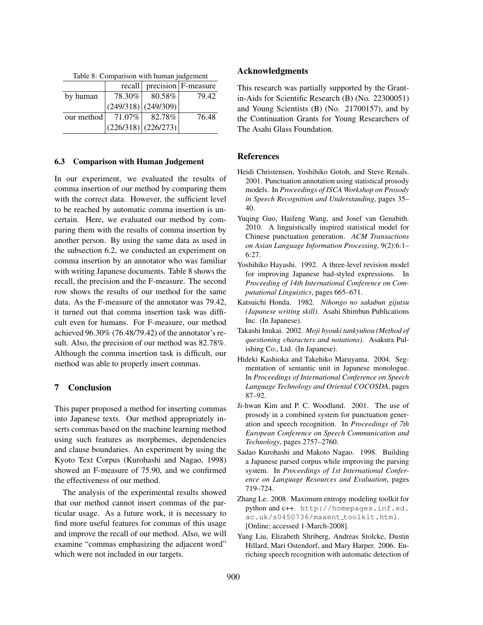| raoic of Comparison with human juugement |           |                       |                       |  |  |
|------------------------------------------|-----------|-----------------------|-----------------------|--|--|
|                                          | recall    |                       | $precision$ F-measure |  |  |
| by human                                 | 78.30%    | $80.58\%$             | 79.42                 |  |  |
|                                          |           | $(249/318)$ (249/309) |                       |  |  |
| our method                               | $71.07\%$ | 82.78%                | 76.48                 |  |  |
|                                          |           | $(226/318)$ (226/273) |                       |  |  |

Table 8: Comparison with human judgement

#### 6.3 Comparison with Human Judgement

In our experiment, we evaluated the results of comma insertion of our method by comparing them with the correct data. However, the sufficient level to be reached by automatic comma insertion is uncertain. Here, we evaluated our method by comparing them with the results of comma insertion by another person. By using the same data as used in the subsection 6.2, we conducted an experiment on comma insertion by an annotator who was familiar with writing Japanese documents. Table 8 shows the recall, the precision and the F-measure. The second row shows the results of our method for the same data. As the F-measure of the annotator was 79.42, it turned out that comma insertion task was difficult even for humans. For F-measure, our method achieved 96.30% (76.48/79.42) of the annotator's result. Also, the precision of our method was 82.78%. Although the comma insertion task is difficult, our method was able to properly insert commas.

# 7 Conclusion

This paper proposed a method for inserting commas into Japanese texts. Our method appropriately inserts commas based on the machine learning method using such features as morphemes, dependencies and clause boundaries. An experiment by using the Kyoto Text Corpus (Kurohashi and Nagao, 1998) showed an F-measure of 75.90, and we confirmed the effectiveness of our method.

The analysis of the experimental results showed that our method cannot insert commas of the particular usage. As a future work, it is necessary to find more useful features for commas of this usage and improve the recall of our method. Also, we will examine "commas emphasizing the adjacent word" which were not included in our targets.

### Acknowledgments

This research was partially supported by the Grantin-Aids for Scientific Research (B) (No. 22300051) and Young Scientists (B) (No. 21700157), and by the Continuation Grants for Young Researchers of The Asahi Glass Foundation.

### References

- Heidi Christensen, Yoshihiko Gotoh, and Steve Renals. 2001. Punctuation annotation using statistical prosody models. In *Proceedings of ISCA Workshop on Prosody in Speech Recognition and Understanding*, pages 35– 40.
- Yuqing Guo, Haifeng Wang, and Josef van Genabith. 2010. A linguistically inspired statistical model for Chinese punctuation generation. *ACM Transactions on Asian Language Information Processing*, 9(2):6:1– 6:27.
- Yoshihiko Hayashi. 1992. A three-level revision model for improving Japanese bad-styled expressions. In *Proceeding of 14th International Conference on Computational Linguistics*, pages 665–671.
- Katsuichi Honda. 1982. *Nihongo no sakubun gijutsu (Japanese writing skill)*. Asahi Shimbun Publications Inc. (In Japanese).
- Takashi Inukai. 2002. *Moji hyouki tankyuhou (Method of questioning characters and notations)*. Asakura Pulishing Co., Ltd. (In Japanese).
- Hideki Kashioka and Takehiko Maruyama. 2004. Segmentation of semantic unit in Japanese monologue. In *Proceedings of International Conference on Speech Language Technology and Oriental COCOSDA*, pages 87–92.
- Ji-hwan Kim and P. C. Woodland. 2001. The use of prosody in a combined system for punctuation generation and speech recognition. In *Proceedings of 7th European Conference on Speech Communication and Technology*, pages 2757–2760.
- Sadao Kurohashi and Makoto Nagao. 1998. Building a Japanese parsed corpus while improving the parsing system. In *Proceedings of 1st International Conference on Language Resources and Evaluation*, pages 719–724.
- Zhang Le. 2008. Maximum entropy modeling toolkit for python and c++. http://homepages.inf.ed. ac.uk/s0450736/maxent\_toolkit.html. [Online; accessed 1-March-2008].
- Yang Liu, Elizabeth Shriberg, Andreas Stolcke, Dustin Hillard, Mari Ostendorf, and Mary Harper. 2006. Enriching speech recognition with automatic detection of